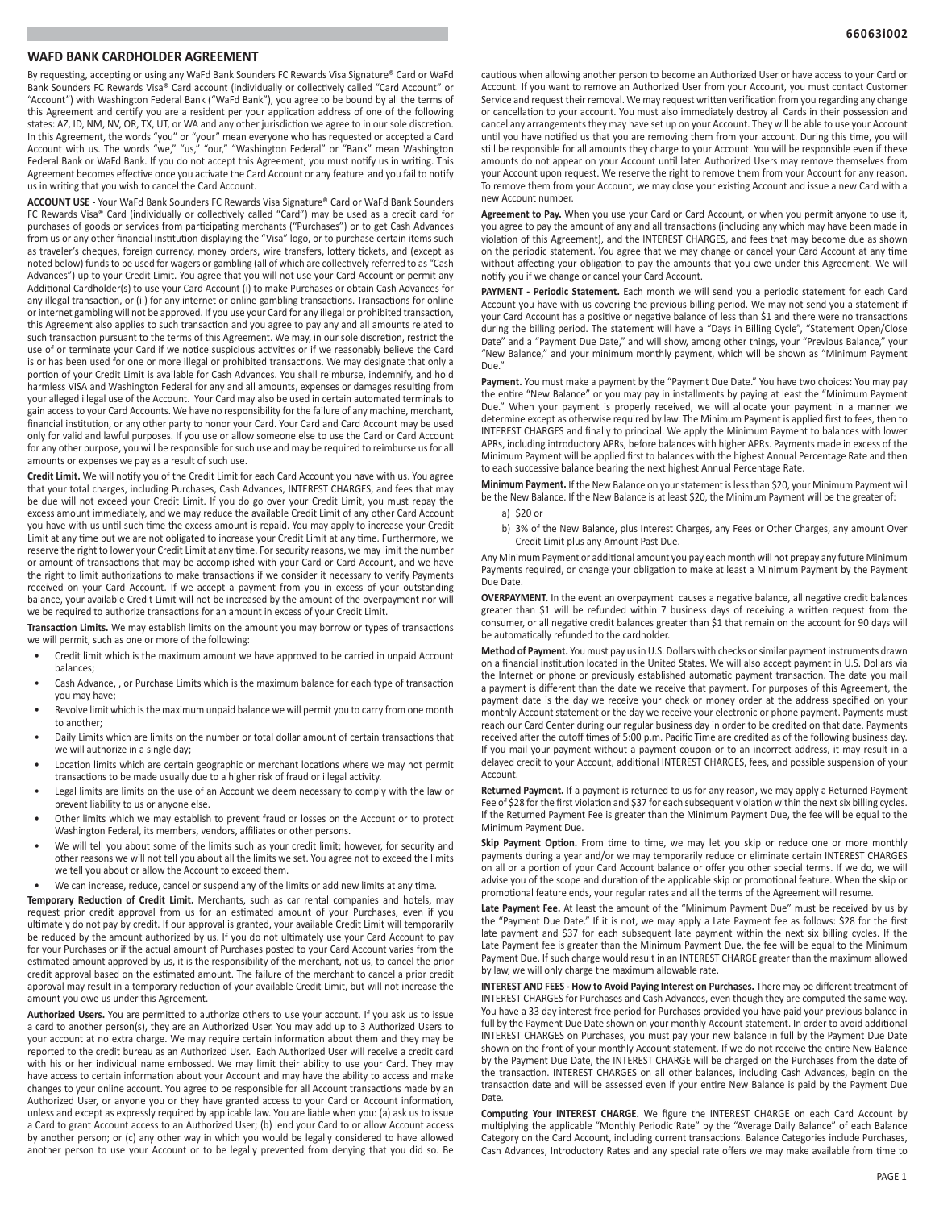# **WAFD BANK CARDHOLDER AGREEMENT**

By requesting, accepting or using any WaFd Bank Sounders FC Rewards Visa Signature® Card or WaFd Bank Sounders FC Rewards Visa® Card account (individually or collectively called "Card Account" or "Account") with Washington Federal Bank ("WaFd Bank"), you agree to be bound by all the terms of this Agreement and certify you are a resident per your application address of one of the following states: AZ, ID, NM, NV, OR, TX, UT, or WA and any other jurisdiction we agree to in our sole discretion. In this Agreement, the words "you" or "your" mean everyone who has requested or accepted a Card Account with us. The words "we," "us," "our," "Washington Federal" or "Bank" mean Washington Federal Bank or WaFd Bank. If you do not accept this Agreement, you must notify us in writing. This Agreement becomes effective once you activate the Card Account or any feature and you fail to notify us in writing that you wish to cancel the Card Account.

**ACCOUNT USE** - Your WaFd Bank Sounders FC Rewards Visa Signature® Card or WaFd Bank Sounders FC Rewards Visa® Card (individually or collectively called "Card") may be used as a credit card for purchases of goods or services from participating merchants ("Purchases") or to get Cash Advances from us or any other financial institution displaying the "Visa" logo, or to purchase certain items such as traveler's cheques, foreign currency, money orders, wire transfers, lottery tickets, and (except as noted below) funds to be used for wagers or gambling (all of which are collectively referred to as "Cash Advances") up to your Credit Limit. You agree that you will not use your Card Account or permit any Additional Cardholder(s) to use your Card Account (i) to make Purchases or obtain Cash Advances for any illegal transaction, or (ii) for any internet or online gambling transactions. Transactions for online or internet gambling will not be approved. If you use your Card for any illegal or prohibited transaction, this Agreement also applies to such transaction and you agree to pay any and all amounts related to such transaction pursuant to the terms of this Agreement. We may, in our sole discretion, restrict the use of or terminate your Card if we notice suspicious activities or if we reasonably believe the Card is or has been used for one or more illegal or prohibited transactions. We may designate that only a portion of your Credit Limit is available for Cash Advances. You shall reimburse, indemnify, and hold harmless VISA and Washington Federal for any and all amounts, expenses or damages resulting from your alleged illegal use of the Account. Your Card may also be used in certain automated terminals to gain access to your Card Accounts. We have no responsibility for the failure of any machine, merchant, financial institution, or any other party to honor your Card. Your Card and Card Account may be used only for valid and lawful purposes. If you use or allow someone else to use the Card or Card Account for any other purpose, you will be responsible for such use and may be required to reimburse us for all amounts or expenses we pay as a result of such use.

**Credit Limit.** We will notify you of the Credit Limit for each Card Account you have with us. You agree that your total charges, including Purchases, Cash Advances, INTEREST CHARGES, and fees that may be due will not exceed your Credit Limit. If you do go over your Credit Limit, you must repay the excess amount immediately, and we may reduce the available Credit Limit of any other Card Account you have with us until such time the excess amount is repaid. You may apply to increase your Credit Limit at any time but we are not obligated to increase your Credit Limit at any time. Furthermore, we reserve the right to lower your Credit Limit at any time. For security reasons, we may limit the number or amount of transactions that may be accomplished with your Card or Card Account, and we have the right to limit authorizations to make transactions if we consider it necessary to verify Payments received on your Card Account. If we accept a payment from you in excess of your outstanding balance, your available Credit Limit will not be increased by the amount of the overpayment nor will we be required to authorize transactions for an amount in excess of your Credit Limit.

**Transaction Limits.** We may establish limits on the amount you may borrow or types of transactions we will permit, such as one or more of the following:

- Credit limit which is the maximum amount we have approved to be carried in unpaid Account balances;
- Cash Advance, , or Purchase Limits which is the maximum balance for each type of transaction you may have;
- Revolve limit which is the maximum unpaid balance we will permit you to carry from one month to another;
- Daily Limits which are limits on the number or total dollar amount of certain transactions that we will authorize in a single day;
- Location limits which are certain geographic or merchant locations where we may not permit transactions to be made usually due to a higher risk of fraud or illegal activity.
- Legal limits are limits on the use of an Account we deem necessary to comply with the law or prevent liability to us or anyone else.
- Other limits which we may establish to prevent fraud or losses on the Account or to protect Washington Federal, its members, vendors, affiliates or other persons.
- We will tell you about some of the limits such as your credit limit; however, for security and other reasons we will not tell you about all the limits we set. You agree not to exceed the limits we tell you about or allow the Account to exceed them.
- We can increase, reduce, cancel or suspend any of the limits or add new limits at any time.

**Temporary Reduction of Credit Limit.** Merchants, such as car rental companies and hotels, may request prior credit approval from us for an estimated amount of your Purchases, even if you ultimately do not pay by credit. If our approval is granted, your available Credit Limit will temporarily be reduced by the amount authorized by us. If you do not ultimately use your Card Account to pay for your Purchases or if the actual amount of Purchases posted to your Card Account varies from the estimated amount approved by us, it is the responsibility of the merchant, not us, to cancel the prior credit approval based on the estimated amount. The failure of the merchant to cancel a prior credit approval may result in a temporary reduction of your available Credit Limit, but will not increase the amount you owe us under this Agreement.

**Authorized Users.** You are permitted to authorize others to use your account. If you ask us to issue a card to another person(s), they are an Authorized User. You may add up to 3 Authorized Users to your account at no extra charge. We may require certain information about them and they may be reported to the credit bureau as an Authorized User. Each Authorized User will receive a credit card with his or her individual name embossed. We may limit their ability to use your Card. They may have access to certain information about your Account and may have the ability to access and make changes to your online account. You agree to be responsible for all Account transactions made by an Authorized User, or anyone you or they have granted access to your Card or Account information, unless and except as expressly required by applicable law. You are liable when you: (a) ask us to issue a Card to grant Account access to an Authorized User; (b) lend your Card to or allow Account access by another person; or (c) any other way in which you would be legally considered to have allowed another person to use your Account or to be legally prevented from denying that you did so. Be

cautious when allowing another person to become an Authorized User or have access to your Card or Account. If you want to remove an Authorized User from your Account, you must contact Customer Service and request their removal. We may request written verification from you regarding any change or cancellation to your account. You must also immediately destroy all Cards in their possession and cancel any arrangements they may have set up on your Account. They will be able to use your Account until you have notified us that you are removing them from your account. During this time, you will still be responsible for all amounts they charge to your Account. You will be responsible even if these amounts do not appear on your Account until later. Authorized Users may remove themselves from your Account upon request. We reserve the right to remove them from your Account for any reason. To remove them from your Account, we may close your existing Account and issue a new Card with a new Account number.

Agreement to Pay. When you use your Card or Card Account, or when you permit anyone to use it, you agree to pay the amount of any and all transactions (including any which may have been made in violation of this Agreement), and the INTEREST CHARGES, and fees that may become due as shown on the periodic statement. You agree that we may change or cancel your Card Account at any time without affecting your obligation to pay the amounts that you owe under this Agreement. We will notify you if we change or cancel your Card Account.

**PAYMENT - Periodic Statement.** Each month we will send you a periodic statement for each Card Account you have with us covering the previous billing period. We may not send you a statement if your Card Account has a positive or negative balance of less than \$1 and there were no transactions during the billing period. The statement will have a "Days in Billing Cycle", "Statement Open/Close Date" and a "Payment Due Date," and will show, among other things, your "Previous Balance," your "New Balance," and your minimum monthly payment, which will be shown as "Minimum Payment Due."

Payment. You must make a payment by the "Payment Due Date." You have two choices: You may pay the entire "New Balance" or you may pay in installments by paying at least the "Minimum Payment Due." When your payment is properly received, we will allocate your payment in a manner we determine except as otherwise required by law. The Minimum Payment is applied first to fees, then to INTEREST CHARGES and finally to principal. We apply the Minimum Payment to balances with lower APRs, including introductory APRs, before balances with higher APRs. Payments made in excess of the Minimum Payment will be applied first to balances with the highest Annual Percentage Rate and then to each successive balance bearing the next highest Annual Percentage Rate.

**Minimum Payment.** If the New Balance on your statement is less than \$20, your Minimum Payment will be the New Balance. If the New Balance is at least \$20, the Minimum Payment will be the greater of:

- a) \$20 or
- b) 3% of the New Balance, plus Interest Charges, any Fees or Other Charges, any amount Over Credit Limit plus any Amount Past Due.

Any Minimum Payment or additional amount you pay each month will not prepay any future Minimum Payments required, or change your obligation to make at least a Minimum Payment by the Payment Due Date.

**OVERPAYMENT.** In the event an overpayment causes a negative balance, all negative credit balances greater than \$1 will be refunded within 7 business days of receiving a written request from the consumer, or all negative credit balances greater than \$1 that remain on the account for 90 days will be automatically refunded to the cardholder.

**Method of Payment.** You must pay us in U.S. Dollars with checks or similar payment instruments drawn on a financial institution located in the United States. We will also accept payment in U.S. Dollars via the Internet or phone or previously established automatic payment transaction. The date you mail a payment is different than the date we receive that payment. For purposes of this Agreement, the payment date is the day we receive your check or money order at the address specified on your monthly Account statement or the day we receive your electronic or phone payment. Payments must reach our Card Center during our regular business day in order to be credited on that date. Payments received after the cutoff times of 5:00 p.m. Pacific Time are credited as of the following business day. If you mail your payment without a payment coupon or to an incorrect address, it may result in a delayed credit to your Account, additional INTEREST CHARGES, fees, and possible suspension of your Account.

**Returned Payment.** If a payment is returned to us for any reason, we may apply a Returned Payment Fee of \$28 for the first violation and \$37 for each subsequent violation within the next six billing cycles. If the Returned Payment Fee is greater than the Minimum Payment Due, the fee will be equal to the Minimum Payment Due.

Skip Payment Option. From time to time, we may let you skip or reduce one or more monthly payments during a year and/or we may temporarily reduce or eliminate certain INTEREST CHARGES on all or a portion of your Card Account balance or offer you other special terms. If we do, we will advise you of the scope and duration of the applicable skip or promotional feature. When the skip or promotional feature ends, your regular rates and all the terms of the Agreement will resume.

**Late Payment Fee.** At least the amount of the "Minimum Payment Due" must be received by us by the "Payment Due Date." If it is not, we may apply a Late Payment fee as follows: \$28 for the first late payment and \$37 for each subsequent late payment within the next six billing cycles. If the Late Payment fee is greater than the Minimum Payment Due, the fee will be equal to the Minimum Payment Due. If such charge would result in an INTEREST CHARGE greater than the maximum allowed by law, we will only charge the maximum allowable rate.

**INTEREST AND FEES - How to Avoid Paying Interest on Purchases.** There may be different treatment of INTEREST CHARGES for Purchases and Cash Advances, even though they are computed the same way. You have a 33 day interest-free period for Purchases provided you have paid your previous balance in full by the Payment Due Date shown on your monthly Account statement. In order to avoid additional INTEREST CHARGES on Purchases, you must pay your new balance in full by the Payment Due Date shown on the front of your monthly Account statement. If we do not receive the entire New Balance by the Payment Due Date, the INTEREST CHARGE will be charged on the Purchases from the date of the transaction. INTEREST CHARGES on all other balances, including Cash Advances, begin on the transaction date and will be assessed even if your entire New Balance is paid by the Payment Due Date.

**Computing Your INTEREST CHARGE.** We figure the INTEREST CHARGE on each Card Account by multiplying the applicable "Monthly Periodic Rate" by the "Average Daily Balance" of each Balance Category on the Card Account, including current transactions. Balance Categories include Purchases, Cash Advances, Introductory Rates and any special rate offers we may make available from time to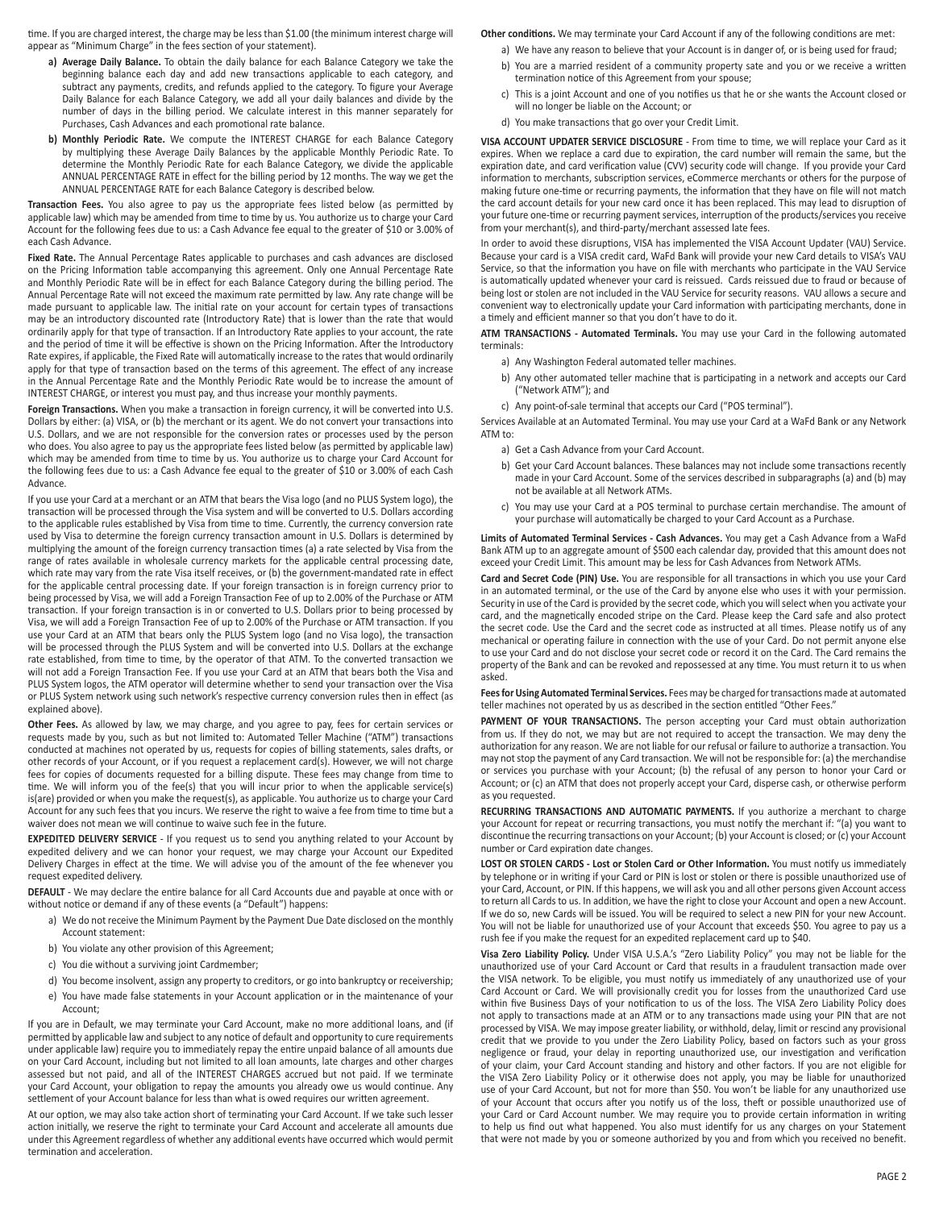time. If you are charged interest, the charge may be less than \$1.00 (the minimum interest charge will appear as "Minimum Charge" in the fees section of your statement).

- **a) Average Daily Balance.** To obtain the daily balance for each Balance Category we take the beginning balance each day and add new transactions applicable to each category, and subtract any payments, credits, and refunds applied to the category. To figure your Average Daily Balance for each Balance Category, we add all your daily balances and divide by the number of days in the billing period. We calculate interest in this manner separately for Purchases, Cash Advances and each promotional rate balance.
- **b) Monthly Periodic Rate.** We compute the INTEREST CHARGE for each Balance Category by multiplying these Average Daily Balances by the applicable Monthly Periodic Rate. To determine the Monthly Periodic Rate for each Balance Category, we divide the applicable ANNUAL PERCENTAGE RATE in effect for the billing period by 12 months. The way we get the ANNUAL PERCENTAGE RATE for each Balance Category is described below.

**Transaction Fees.** You also agree to pay us the appropriate fees listed below (as permitted by applicable law) which may be amended from time to time by us. You authorize us to charge your Card Account for the following fees due to us: a Cash Advance fee equal to the greater of \$10 or 3.00% of each Cash Advance.

**Fixed Rate.** The Annual Percentage Rates applicable to purchases and cash advances are disclosed on the Pricing Information table accompanying this agreement. Only one Annual Percentage Rate and Monthly Periodic Rate will be in effect for each Balance Category during the billing period. The Annual Percentage Rate will not exceed the maximum rate permitted by law. Any rate change will be made pursuant to applicable law. The initial rate on your account for certain types of transactions may be an introductory discounted rate (Introductory Rate) that is lower than the rate that would ordinarily apply for that type of transaction. If an Introductory Rate applies to your account, the rate and the period of time it will be effective is shown on the Pricing Information. After the Introductory Rate expires, if applicable, the Fixed Rate will automatically increase to the rates that would ordinarily apply for that type of transaction based on the terms of this agreement. The effect of any increase in the Annual Percentage Rate and the Monthly Periodic Rate would be to increase the amount of INTEREST CHARGE, or interest you must pay, and thus increase your monthly payments.

**Foreign Transactions.** When you make a transaction in foreign currency, it will be converted into U.S. Dollars by either: (a) VISA, or (b) the merchant or its agent. We do not convert your transactions into U.S. Dollars, and we are not responsible for the conversion rates or processes used by the person who does. You also agree to pay us the appropriate fees listed below (as permitted by applicable law) which may be amended from time to time by us. You authorize us to charge your Card Account for the following fees due to us: a Cash Advance fee equal to the greater of \$10 or 3.00% of each Cash Advance.

If you use your Card at a merchant or an ATM that bears the Visa logo (and no PLUS System logo), the transaction will be processed through the Visa system and will be converted to U.S. Dollars according to the applicable rules established by Visa from time to time. Currently, the currency conversion rate used by Visa to determine the foreign currency transaction amount in U.S. Dollars is determined by multiplying the amount of the foreign currency transaction times (a) a rate selected by Visa from the range of rates available in wholesale currency markets for the applicable central processing date, which rate may vary from the rate Visa itself receives, or (b) the government-mandated rate in effect for the applicable central processing date. If your foreign transaction is in foreign currency prior to being processed by Visa, we will add a Foreign Transaction Fee of up to 2.00% of the Purchase or ATM transaction. If your foreign transaction is in or converted to U.S. Dollars prior to being processed by Visa, we will add a Foreign Transaction Fee of up to 2.00% of the Purchase or ATM transaction. If you use your Card at an ATM that bears only the PLUS System logo (and no Visa logo), the transaction will be processed through the PLUS System and will be converted into U.S. Dollars at the exchange rate established, from time to time, by the operator of that ATM. To the converted transaction we will not add a Foreign Transaction Fee. If you use your Card at an ATM that bears both the Visa and PLUS System logos, the ATM operator will determine whether to send your transaction over the Visa or PLUS System network using such network's respective currency conversion rules then in effect (as explained above).

**Other Fees.** As allowed by law, we may charge, and you agree to pay, fees for certain services or requests made by you, such as but not limited to: Automated Teller Machine ("ATM") transactions conducted at machines not operated by us, requests for copies of billing statements, sales drafts, or other records of your Account, or if you request a replacement card(s). However, we will not charge fees for copies of documents requested for a billing dispute. These fees may change from time to time. We will inform you of the fee(s) that you will incur prior to when the applicable service(s) is(are) provided or when you make the request(s), as applicable. You authorize us to charge your Card Account for any such fees that you incurs. We reserve the right to waive a fee from time to time but a waiver does not mean we will continue to waive such fee in the future.

**EXPEDITED DELIVERY SERVICE** - If you request us to send you anything related to your Account by expedited delivery and we can honor your request, we may charge your Account our Expedited Delivery Charges in effect at the time. We will advise you of the amount of the fee whenever you request expedited delivery.

**DEFAULT** - We may declare the entire balance for all Card Accounts due and payable at once with or without notice or demand if any of these events (a "Default") happens:

- a) We do not receive the Minimum Payment by the Payment Due Date disclosed on the monthly Account statement:
- b) You violate any other provision of this Agreement;
- c) You die without a surviving joint Cardmember;
- d) You become insolvent, assign any property to creditors, or go into bankruptcy or receivership;
- e) You have made false statements in your Account application or in the maintenance of your Account;

If you are in Default, we may terminate your Card Account, make no more additional loans, and (if permitted by applicable law and subject to any notice of default and opportunity to cure requirements under applicable law) require you to immediately repay the entire unpaid balance of all amounts due on your Card Account, including but not limited to all loan amounts, late charges and other charges assessed but not paid, and all of the INTEREST CHARGES accrued but not paid. If we terminate your Card Account, your obligation to repay the amounts you already owe us would continue. Any settlement of your Account balance for less than what is owed requires our written agreement.

At our option, we may also take action short of terminating your Card Account. If we take such lesser action initially, we reserve the right to terminate your Card Account and accelerate all amounts due under this Agreement regardless of whether any additional events have occurred which would permit termination and acceleration.

#### **Other conditions.** We may terminate your Card Account if any of the following conditions are met:

- a) We have any reason to believe that your Account is in danger of, or is being used for fraud;
- b) You are a married resident of a community property sate and you or we receive a written termination notice of this Agreement from your spouse;
- c) This is a joint Account and one of you notifies us that he or she wants the Account closed or will no longer be liable on the Account; or
- d) You make transactions that go over your Credit Limit.

**VISA ACCOUNT UPDATER SERVICE DISCLOSURE** - From time to time, we will replace your Card as it expires. When we replace a card due to expiration, the card number will remain the same, but the expiration date, and card verification value (CVV) security code will change. If you provide your Card information to merchants, subscription services, eCommerce merchants or others for the purpose of making future one-time or recurring payments, the information that they have on file will not match the card account details for your new card once it has been replaced. This may lead to disruption of your future one-time or recurring payment services, interruption of the products/services you receive from your merchant(s), and third-party/merchant assessed late fees.

In order to avoid these disruptions, VISA has implemented the VISA Account Updater (VAU) Service. Because your card is a VISA credit card, WaFd Bank will provide your new Card details to VISA's VAU Service, so that the information you have on file with merchants who participate in the VAU Service is automatically updated whenever your card is reissued. Cards reissued due to fraud or because of being lost or stolen are not included in the VAU Service for security reasons. VAU allows a secure and convenient way to electronically update your Card information with participating merchants, done in a timely and efficient manner so that you don't have to do it.

**ATM TRANSACTIONS - Automated Terminals.** You may use your Card in the following automated terminals:

- a) Any Washington Federal automated teller machines.
- b) Any other automated teller machine that is participating in a network and accepts our Card ("Network ATM"); and
- c) Any point-of-sale terminal that accepts our Card ("POS terminal").

Services Available at an Automated Terminal. You may use your Card at a WaFd Bank or any Network ATM to:

- a) Get a Cash Advance from your Card Account.
- b) Get your Card Account balances. These balances may not include some transactions recently made in your Card Account. Some of the services described in subparagraphs (a) and (b) may not be available at all Network ATMs.
- c) You may use your Card at a POS terminal to purchase certain merchandise. The amount of your purchase will automatically be charged to your Card Account as a Purchase.

**Limits of Automated Terminal Services - Cash Advances.** You may get a Cash Advance from a WaFd Bank ATM up to an aggregate amount of \$500 each calendar day, provided that this amount does not exceed your Credit Limit. This amount may be less for Cash Advances from Network ATMs.

**Card and Secret Code (PIN) Use.** You are responsible for all transactions in which you use your Card in an automated terminal, or the use of the Card by anyone else who uses it with your permission. Security in use of the Card is provided by the secret code, which you will select when you activate your card, and the magnetically encoded stripe on the Card. Please keep the Card safe and also protect the secret code. Use the Card and the secret code as instructed at all times. Please notify us of any mechanical or operating failure in connection with the use of your Card. Do not permit anyone else to use your Card and do not disclose your secret code or record it on the Card. The Card remains the property of the Bank and can be revoked and repossessed at any time. You must return it to us when asked.

**Fees for Using Automated Terminal Services.** Fees may be charged for transactions made at automated teller machines not operated by us as described in the section entitled "Other Fees."

PAYMENT OF YOUR TRANSACTIONS. The person accepting your Card must obtain authorization from us. If they do not, we may but are not required to accept the transaction. We may deny the authorization for any reason. We are not liable for our refusal or failure to authorize a transaction. You may not stop the payment of any Card transaction. We will not be responsible for: (a) the merchandise or services you purchase with your Account; (b) the refusal of any person to honor your Card or Account; or (c) an ATM that does not properly accept your Card, disperse cash, or otherwise perform as you requested.

**RECURRING TRANSACTIONS AND AUTOMATIC PAYMENTS.** If you authorize a merchant to charge your Account for repeat or recurring transactions, you must notify the merchant if: "(a) you want to discontinue the recurring transactions on your Account; (b) your Account is closed; or (c) your Account number or Card expiration date changes.

**LOST OR STOLEN CARDS - Lost or Stolen Card or Other Information.** You must notify us immediately by telephone or in writing if your Card or PIN is lost or stolen or there is possible unauthorized use of your Card, Account, or PIN. If this happens, we will ask you and all other persons given Account access to return all Cards to us. In addition, we have the right to close your Account and open a new Account. If we do so, new Cards will be issued. You will be required to select a new PIN for your new Account. You will not be liable for unauthorized use of your Account that exceeds \$50. You agree to pay us a rush fee if you make the request for an expedited replacement card up to \$40.

**Visa Zero Liability Policy.** Under VISA U.S.A.'s "Zero Liability Policy" you may not be liable for the unauthorized use of your Card Account or Card that results in a fraudulent transaction made over the VISA network. To be eligible, you must notify us immediately of any unauthorized use of your Card Account or Card. We will provisionally credit you for losses from the unauthorized Card use within five Business Days of your notification to us of the loss. The VISA Zero Liability Policy does not apply to transactions made at an ATM or to any transactions made using your PIN that are not processed by VISA. We may impose greater liability, or withhold, delay, limit or rescind any provisional credit that we provide to you under the Zero Liability Policy, based on factors such as your gross negligence or fraud, your delay in reporting unauthorized use, our investigation and verification of your claim, your Card Account standing and history and other factors. If you are not eligible for the VISA Zero Liability Policy or it otherwise does not apply, you may be liable for unauthorized use of your Card Account, but not for more than \$50. You won't be liable for any unauthorized use of your Account that occurs after you notify us of the loss, theft or possible unauthorized use of your Card or Card Account number. We may require you to provide certain information in writing to help us find out what happened. You also must identify for us any charges on your Statement that were not made by you or someone authorized by you and from which you received no benefit.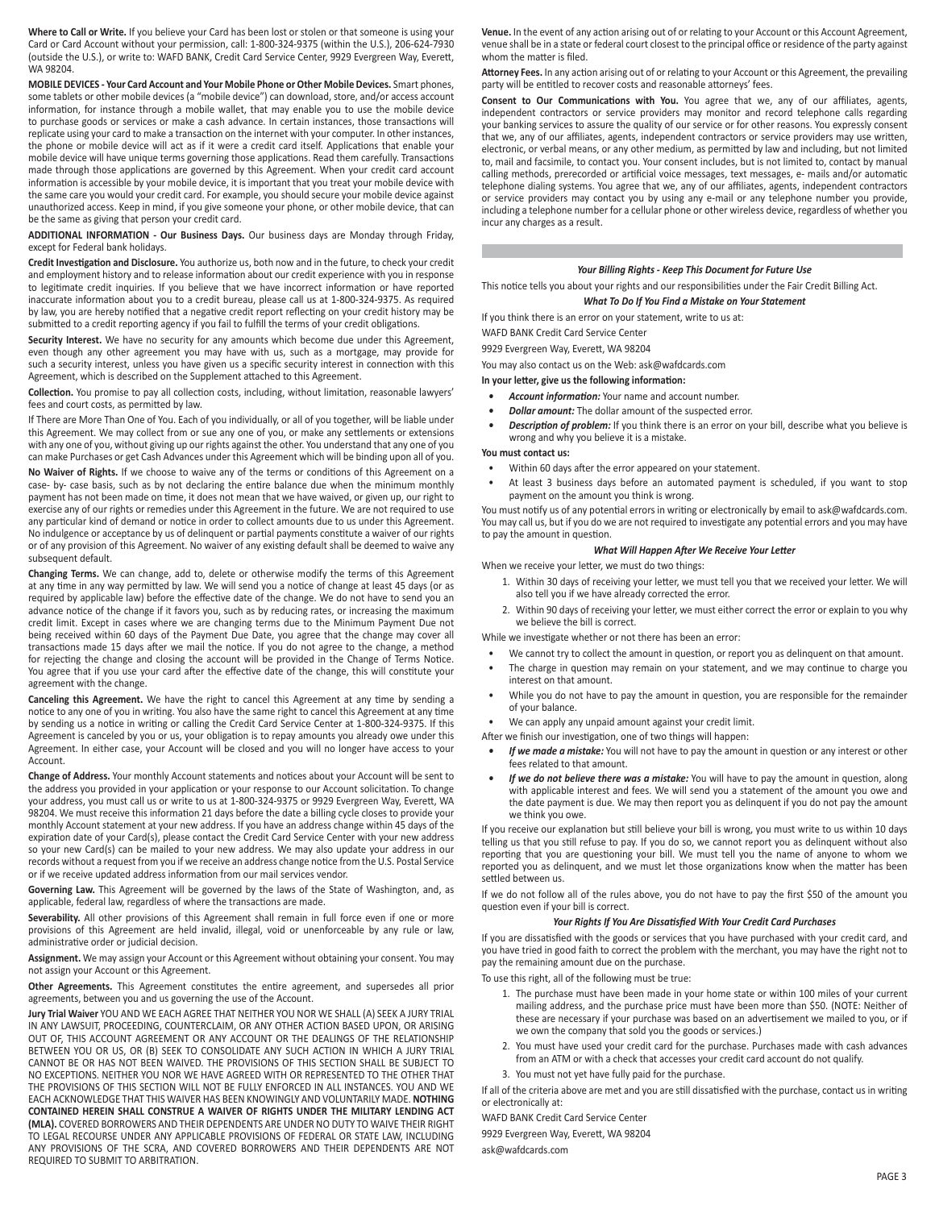**Where to Call or Write.** If you believe your Card has been lost or stolen or that someone is using your Card or Card Account without your permission, call: 1-800-324-9375 (within the U.S.), 206-624-7930 (outside the U.S.), or write to: WAFD BANK, Credit Card Service Center, 9929 Evergreen Way, Everett, WA 98204.

**MOBILE DEVICES - Your Card Account and Your Mobile Phone or Other Mobile Devices.** Smart phones, some tablets or other mobile devices (a "mobile device") can download, store, and/or access account information, for instance through a mobile wallet, that may enable you to use the mobile device to purchase goods or services or make a cash advance. In certain instances, those transactions will replicate using your card to make a transaction on the internet with your computer. In other instances, the phone or mobile device will act as if it were a credit card itself. Applications that enable your mobile device will have unique terms governing those applications. Read them carefully. Transactions made through those applications are governed by this Agreement. When your credit card account information is accessible by your mobile device, it is important that you treat your mobile device with the same care you would your credit card. For example, you should secure your mobile device against unauthorized access. Keep in mind, if you give someone your phone, or other mobile device, that can be the same as giving that person your credit card.

**ADDITIONAL INFORMATION - Our Business Days.** Our business days are Monday through Friday, except for Federal bank holidays.

**Credit Investigation and Disclosure.** You authorize us, both now and in the future, to check your credit and employment history and to release information about our credit experience with you in response to legitimate credit inquiries. If you believe that we have incorrect information or have reported inaccurate information about you to a credit bureau, please call us at 1-800-324-9375. As required by law, you are hereby notified that a negative credit report reflecting on your credit history may be submitted to a credit reporting agency if you fail to fulfill the terms of your credit obligations.

**Security Interest.** We have no security for any amounts which become due under this Agreement, even though any other agreement you may have with us, such as a mortgage, may provide for such a security interest, unless you have given us a specific security interest in connection with this Agreement, which is described on the Supplement attached to this Agreement.

**Collection.** You promise to pay all collection costs, including, without limitation, reasonable lawyers' fees and court costs, as permitted by law.

If There are More Than One of You. Each of you individually, or all of you together, will be liable under this Agreement. We may collect from or sue any one of you, or make any settlements or extensions with any one of you, without giving up our rights against the other. You understand that any one of you can make Purchases or get Cash Advances under this Agreement which will be binding upon all of you.

**No Waiver of Rights.** If we choose to waive any of the terms or conditions of this Agreement on a case- by- case basis, such as by not declaring the entire balance due when the minimum monthly payment has not been made on time, it does not mean that we have waived, or given up, our right to exercise any of our rights or remedies under this Agreement in the future. We are not required to use any particular kind of demand or notice in order to collect amounts due to us under this Agreement. No indulgence or acceptance by us of delinquent or partial payments constitute a waiver of our rights or of any provision of this Agreement. No waiver of any existing default shall be deemed to waive any subsequent default.

**Changing Terms.** We can change, add to, delete or otherwise modify the terms of this Agreement at any time in any way permitted by law. We will send you a notice of change at least 45 days (or as required by applicable law) before the effective date of the change. We do not have to send you an advance notice of the change if it favors you, such as by reducing rates, or increasing the maximum credit limit. Except in cases where we are changing terms due to the Minimum Payment Due not being received within 60 days of the Payment Due Date, you agree that the change may cover all transactions made 15 days after we mail the notice. If you do not agree to the change, a method for rejecting the change and closing the account will be provided in the Change of Terms Notice. You agree that if you use your card after the effective date of the change, this will constitute your agreement with the change.

**Canceling this Agreement.** We have the right to cancel this Agreement at any time by sending a notice to any one of you in writing. You also have the same right to cancel this Agreement at any time by sending us a notice in writing or calling the Credit Card Service Center at 1-800-324-9375. If this Agreement is canceled by you or us, your obligation is to repay amounts you already owe under this Agreement. In either case, your Account will be closed and you will no longer have access to your Account.

**Change of Address.** Your monthly Account statements and notices about your Account will be sent to the address you provided in your application or your response to our Account solicitation. To change your address, you must call us or write to us at 1-800-324-9375 or 9929 Evergreen Way, Everett, WA 98204. We must receive this information 21 days before the date a billing cycle closes to provide your monthly Account statement at your new address. If you have an address change within 45 days of the expiration date of your Card(s), please contact the Credit Card Service Center with your new address so your new Card(s) can be mailed to your new address. We may also update your address in our records without a request from you if we receive an address change notice from the U.S. Postal Service or if we receive updated address information from our mail services vendor.

**Governing Law.** This Agreement will be governed by the laws of the State of Washington, and, as applicable, federal law, regardless of where the transactions are made.

**Severability.** All other provisions of this Agreement shall remain in full force even if one or more provisions of this Agreement are held invalid, illegal, void or unenforceable by any rule or law, administrative order or judicial decision.

**Assignment.** We may assign your Account or this Agreement without obtaining your consent. You may not assign your Account or this Agreement.

**Other Agreements.** This Agreement constitutes the entire agreement, and supersedes all prior agreements, between you and us governing the use of the Account.

**Jury Trial Waiver** YOU AND WE EACH AGREE THAT NEITHER YOU NOR WE SHALL (A) SEEK A JURY TRIAL IN ANY LAWSUIT, PROCEEDING, COUNTERCLAIM, OR ANY OTHER ACTION BASED UPON, OR ARISING OUT OF, THIS ACCOUNT AGREEMENT OR ANY ACCOUNT OR THE DEALINGS OF THE RELATIONSHIP BETWEEN YOU OR US, OR (B) SEEK TO CONSOLIDATE ANY SUCH ACTION IN WHICH A JURY TRIAL CANNOT BE OR HAS NOT BEEN WAIVED. THE PROVISIONS OF THIS SECTION SHALL BE SUBJECT TO NO EXCEPTIONS. NEITHER YOU NOR WE HAVE AGREED WITH OR REPRESENTED TO THE OTHER THAT THE PROVISIONS OF THIS SECTION WILL NOT BE FULLY ENFORCED IN ALL INSTANCES. YOU AND WE EACH ACKNOWLEDGE THAT THIS WAIVER HAS BEEN KNOWINGLY AND VOLUNTARILY MADE. **NOTHING CONTAINED HEREIN SHALL CONSTRUE A WAIVER OF RIGHTS UNDER THE MILITARY LENDING ACT (MLA).** COVERED BORROWERS AND THEIR DEPENDENTS ARE UNDER NO DUTY TO WAIVE THEIR RIGHT TO LEGAL RECOURSE UNDER ANY APPLICABLE PROVISIONS OF FEDERAL OR STATE LAW, INCLUDING ANY PROVISIONS OF THE SCRA, AND COVERED BORROWERS AND THEIR DEPENDENTS ARE NOT REQUIRED TO SUBMIT TO ARBITRATION.

**Venue.** In the event of any action arising out of or relating to your Account or this Account Agreement, venue shall be in a state or federal court closest to the principal office or residence of the party against whom the matter is filed.

**Attorney Fees.** In any action arising out of or relating to your Account or this Agreement, the prevailing party will be entitled to recover costs and reasonable attorneys' fees.

**Consent to Our Communications with You.** You agree that we, any of our affiliates, agents, independent contractors or service providers may monitor and record telephone calls regarding your banking services to assure the quality of our service or for other reasons. You expressly consent that we, any of our affiliates, agents, independent contractors or service providers may use written, electronic, or verbal means, or any other medium, as permitted by law and including, but not limited to, mail and facsimile, to contact you. Your consent includes, but is not limited to, contact by manual calling methods, prerecorded or artificial voice messages, text messages, e- mails and/or automatic telephone dialing systems. You agree that we, any of our affiliates, agents, independent contractors or service providers may contact you by using any e-mail or any telephone number you provide, including a telephone number for a cellular phone or other wireless device, regardless of whether you incur any charges as a result.

#### *Your Billing Rights - Keep This Document for Future Use*

This notice tells you about your rights and our responsibilities under the Fair Credit Billing Act.

### *What To Do If You Find a Mistake on Your Statement*

If you think there is an error on your statement, write to us at:

WAFD BANK Credit Card Service Center

## 9929 Evergreen Way, Everett, WA 98204

You may also contact us on the Web: ask@wafdcards.com

#### **In your letter, give us the following information:**

- *• Account information:* Your name and account number.
- *• Dollar amount:* The dollar amount of the suspected error.
- *• Description of problem:* If you think there is an error on your bill, describe what you believe is wrong and why you believe it is a mistake.

### **You must contact us:**

- Within 60 days after the error appeared on your statement.
- At least 3 business days before an automated payment is scheduled, if you want to stop payment on the amount you think is wrong.

You must notify us of any potential errors in writing or electronically by email to ask@wafdcards.com. You may call us, but if you do we are not required to investigate any potential errors and you may have to pay the amount in question.

## *What Will Happen After We Receive Your Letter*

When we receive your letter, we must do two things:

- 1. Within 30 days of receiving your letter, we must tell you that we received your letter. We will also tell you if we have already corrected the error.
- 2. Within 90 days of receiving your letter, we must either correct the error or explain to you why we believe the bill is correct.

While we investigate whether or not there has been an error:

- We cannot try to collect the amount in question, or report you as delinquent on that amount.
- The charge in question may remain on your statement, and we may continue to charge you interest on that amount.
- While you do not have to pay the amount in question, you are responsible for the remainder of your balance.
- We can apply any unpaid amount against your credit limit.

After we finish our investigation, one of two things will happen:

- *• If we made a mistake:* You will not have to pay the amount in question or any interest or other fees related to that amount.
- *If we do not believe there was a mistake:* You will have to pay the amount in question, along with applicable interest and fees. We will send you a statement of the amount you owe and the date payment is due. We may then report you as delinquent if you do not pay the amount we think you owe.

If you receive our explanation but still believe your bill is wrong, you must write to us within 10 days telling us that you still refuse to pay. If you do so, we cannot report you as delinquent without also reporting that you are questioning your bill. We must tell you the name of anyone to whom we reported you as delinquent, and we must let those organizations know when the matter has been settled between us.

If we do not follow all of the rules above, you do not have to pay the first \$50 of the amount you question even if your bill is correct.

### *Your Rights If You Are Dissatisfied With Your Credit Card Purchases*

If you are dissatisfied with the goods or services that you have purchased with your credit card, and you have tried in good faith to correct the problem with the merchant, you may have the right not to pay the remaining amount due on the purchase.

To use this right, all of the following must be true:

- 1. The purchase must have been made in your home state or within 100 miles of your current mailing address, and the purchase price must have been more than \$50. (NOTE: Neither of these are necessary if your purchase was based on an advertisement we mailed to you, or if we own the company that sold you the goods or services.)
- 2. You must have used your credit card for the purchase. Purchases made with cash advances from an ATM or with a check that accesses your credit card account do not qualify.
- 3. You must not yet have fully paid for the purchase.

If all of the criteria above are met and you are still dissatisfied with the purchase, contact us in writing or electronically at:

WAFD BANK Credit Card Service Center

9929 Evergreen Way, Everett, WA 98204

ask@wafdcards.com